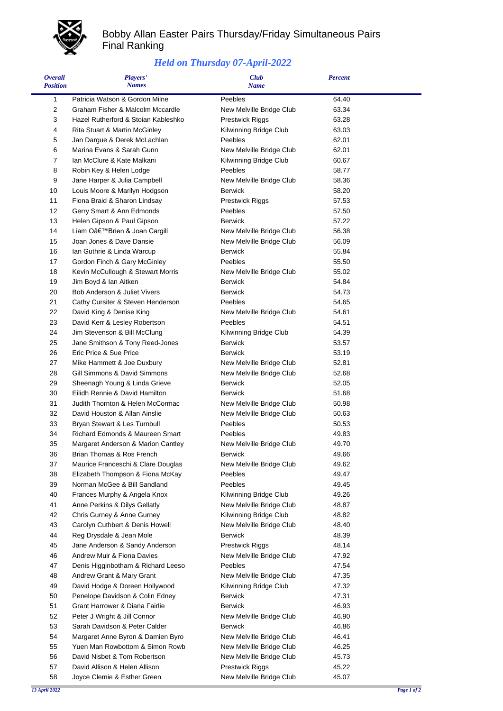

## Bobby Allan Easter Pairs Thursday/Friday Simultaneous Pairs Final Ranking

## *Held on Thursday 07-April-2022*

| <b>Overall</b><br><b>Position</b> | Players'<br><b>Names</b>            | <b>Club</b><br><b>Name</b> | <b>Percent</b> |  |
|-----------------------------------|-------------------------------------|----------------------------|----------------|--|
| 1                                 | Patricia Watson & Gordon Milne      | Peebles                    | 64.40          |  |
| 2                                 | Graham Fisher & Malcolm Mccardle    | New Melville Bridge Club   | 63.34          |  |
| 3                                 | Hazel Rutherford & Stoian Kableshko | <b>Prestwick Riggs</b>     | 63.28          |  |
| 4                                 | Rita Stuart & Martin McGinley       | Kilwinning Bridge Club     | 63.03          |  |
| 5                                 | Jan Dargue & Derek McLachlan        | Peebles                    | 62.01          |  |
| 6                                 | Marina Evans & Sarah Gunn           | New Melville Bridge Club   | 62.01          |  |
| 7                                 | Ian McClure & Kate Malkani          | Kilwinning Bridge Club     | 60.67          |  |
| 8                                 | Robin Key & Helen Lodge             | Peebles                    | 58.77          |  |
| 9                                 | Jane Harper & Julia Campbell        | New Melville Bridge Club   | 58.36          |  |
| 10                                | Louis Moore & Marilyn Hodgson       | <b>Berwick</b>             | 58.20          |  |
| 11                                | Fiona Braid & Sharon Lindsay        | <b>Prestwick Riggs</b>     | 57.53          |  |
| 12                                | Gerry Smart & Ann Edmonds           | Peebles                    | 57.50          |  |
| 13                                | Helen Gipson & Paul Gipson          | <b>Berwick</b>             | 57.22          |  |
| 14                                | Liam O'Brien & Joan Cargill         | New Melville Bridge Club   | 56.38          |  |
| 15                                | Joan Jones & Dave Dansie            | New Melville Bridge Club   | 56.09          |  |
| 16                                | Ian Guthrie & Linda Warcup          | <b>Berwick</b>             | 55.84          |  |
| 17                                | Gordon Finch & Gary McGinley        | Peebles                    | 55.50          |  |
| 18                                | Kevin McCullough & Stewart Morris   | New Melville Bridge Club   | 55.02          |  |
| 19                                | Jim Boyd & Ian Aitken               | <b>Berwick</b>             | 54.84          |  |
| 20                                | Bob Anderson & Juliet Vivers        | <b>Berwick</b>             | 54.73          |  |
| 21                                | Cathy Cursiter & Steven Henderson   | Peebles                    | 54.65          |  |
| 22                                | David King & Denise King            | New Melville Bridge Club   | 54.61          |  |
| 23                                | David Kerr & Lesley Robertson       | Peebles                    | 54.51          |  |
| 24                                | Jim Stevenson & Bill McClung        | Kilwinning Bridge Club     | 54.39          |  |
| 25                                | Jane Smithson & Tony Reed-Jones     | <b>Berwick</b>             | 53.57          |  |
| 26                                | Eric Price & Sue Price              | <b>Berwick</b>             | 53.19          |  |
| 27                                | Mike Hammett & Joe Duxbury          | New Melville Bridge Club   | 52.81          |  |
| 28                                | Gill Simmons & David Simmons        | New Melville Bridge Club   | 52.68          |  |
| 29                                | Sheenagh Young & Linda Grieve       | <b>Berwick</b>             | 52.05          |  |
| 30                                | Eilidh Rennie & David Hamilton      | <b>Berwick</b>             | 51.68          |  |
| 31                                | Judith Thornton & Helen McCormac    | New Melville Bridge Club   | 50.98          |  |
| 32                                | David Houston & Allan Ainslie       | New Melville Bridge Club   | 50.63          |  |
| 33                                | Bryan Stewart & Les Turnbull        | Peebles                    | 50.53          |  |
| 34                                | Richard Edmonds & Maureen Smart     | Peebles                    | 49.83          |  |
| 35                                | Margaret Anderson & Marion Cantley  | New Melville Bridge Club   | 49.70          |  |
| 36                                | Brian Thomas & Ros French           | Berwick                    | 49.66          |  |
| 37                                | Maurice Franceschi & Clare Douglas  | New Melville Bridge Club   | 49.62          |  |
| 38                                | Elizabeth Thompson & Fiona McKay    | Peebles                    | 49.47          |  |
| 39                                | Norman McGee & Bill Sandland        | Peebles                    | 49.45          |  |
| 40                                | Frances Murphy & Angela Knox        | Kilwinning Bridge Club     | 49.26          |  |
| 41                                | Anne Perkins & Dilys Gellatly       | New Melville Bridge Club   | 48.87          |  |
| 42                                | Chris Gurney & Anne Gurney          | Kilwinning Bridge Club     | 48.82          |  |
| 43                                | Carolyn Cuthbert & Denis Howell     | New Melville Bridge Club   | 48.40          |  |
| 44                                | Reg Drysdale & Jean Mole            | <b>Berwick</b>             | 48.39          |  |
| 45                                | Jane Anderson & Sandy Anderson      | <b>Prestwick Riggs</b>     | 48.14          |  |
| 46                                | Andrew Muir & Fiona Davies          | New Melville Bridge Club   | 47.92          |  |
| 47                                | Denis Higginbotham & Richard Leeso  | Peebles                    | 47.54          |  |
| 48                                | Andrew Grant & Mary Grant           | New Melville Bridge Club   | 47.35          |  |
| 49                                | David Hodge & Doreen Hollywood      | Kilwinning Bridge Club     | 47.32          |  |
| 50                                | Penelope Davidson & Colin Edney     | <b>Berwick</b>             | 47.31          |  |
| 51                                | Grant Harrower & Diana Fairlie      | <b>Berwick</b>             | 46.93          |  |
| 52                                | Peter J Wright & Jill Connor        | New Melville Bridge Club   | 46.90          |  |
| 53                                | Sarah Davidson & Peter Calder       | <b>Berwick</b>             | 46.86          |  |
| 54                                | Margaret Anne Byron & Damien Byro   | New Melville Bridge Club   | 46.41          |  |
| 55                                | Yuen Man Rowbottom & Simon Rowb     | New Melville Bridge Club   | 46.25          |  |
| 56                                | David Nisbet & Tom Robertson        | New Melville Bridge Club   | 45.73          |  |
| 57                                | David Allison & Helen Allison       | Prestwick Riggs            | 45.22          |  |
| 58                                | Joyce Clemie & Esther Green         | New Melville Bridge Club   | 45.07          |  |